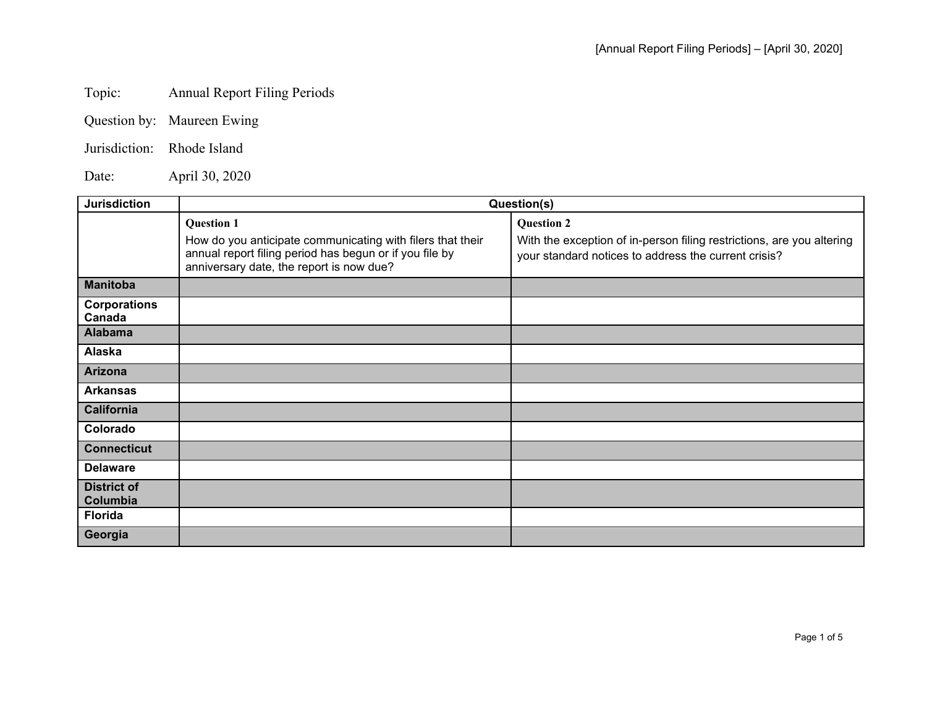## Topic: Annual Report Filing Periods

| Question by: | Maureen Ewing |
|--------------|---------------|
|--------------|---------------|

Jurisdiction: Rhode Island

Date: April 30, 2020

| <b>Jurisdiction</b>            | Question(s)                                                                                                                                                                            |                                                                                                                                                    |
|--------------------------------|----------------------------------------------------------------------------------------------------------------------------------------------------------------------------------------|----------------------------------------------------------------------------------------------------------------------------------------------------|
|                                | <b>Question 1</b><br>How do you anticipate communicating with filers that their<br>annual report filing period has begun or if you file by<br>anniversary date, the report is now due? | <b>Question 2</b><br>With the exception of in-person filing restrictions, are you altering<br>your standard notices to address the current crisis? |
| <b>Manitoba</b>                |                                                                                                                                                                                        |                                                                                                                                                    |
| <b>Corporations</b><br>Canada  |                                                                                                                                                                                        |                                                                                                                                                    |
| <b>Alabama</b>                 |                                                                                                                                                                                        |                                                                                                                                                    |
| Alaska                         |                                                                                                                                                                                        |                                                                                                                                                    |
| <b>Arizona</b>                 |                                                                                                                                                                                        |                                                                                                                                                    |
| <b>Arkansas</b>                |                                                                                                                                                                                        |                                                                                                                                                    |
| <b>California</b>              |                                                                                                                                                                                        |                                                                                                                                                    |
| Colorado                       |                                                                                                                                                                                        |                                                                                                                                                    |
| <b>Connecticut</b>             |                                                                                                                                                                                        |                                                                                                                                                    |
| <b>Delaware</b>                |                                                                                                                                                                                        |                                                                                                                                                    |
| <b>District of</b><br>Columbia |                                                                                                                                                                                        |                                                                                                                                                    |
| <b>Florida</b>                 |                                                                                                                                                                                        |                                                                                                                                                    |
| Georgia                        |                                                                                                                                                                                        |                                                                                                                                                    |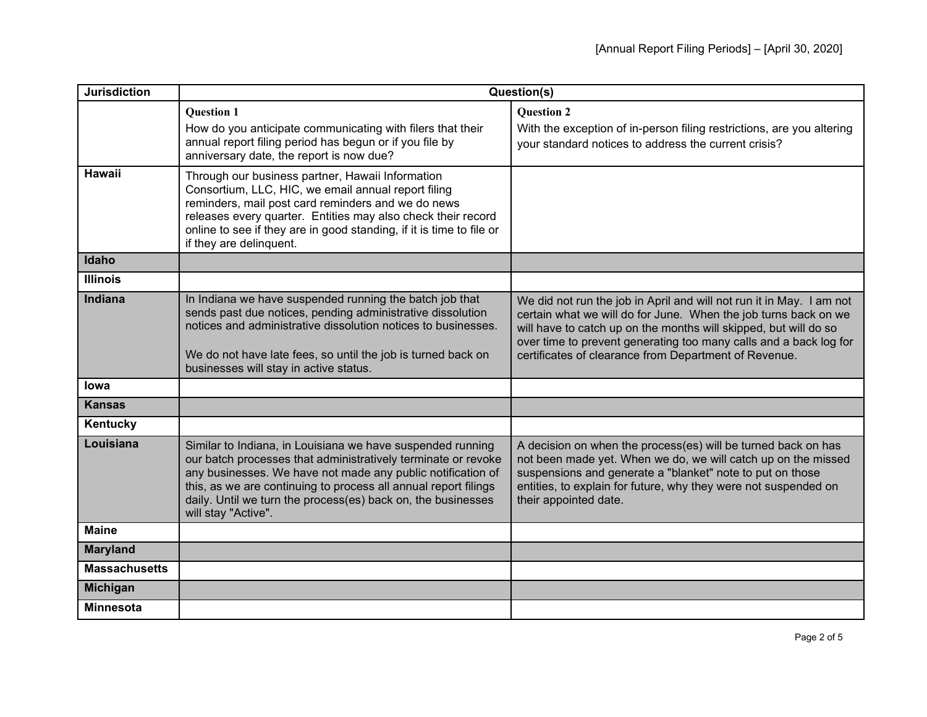| <b>Jurisdiction</b>  | Question(s)                                                                                                                                                                                                                                                                                                                                          |                                                                                                                                                                                                                                                                                                                                           |
|----------------------|------------------------------------------------------------------------------------------------------------------------------------------------------------------------------------------------------------------------------------------------------------------------------------------------------------------------------------------------------|-------------------------------------------------------------------------------------------------------------------------------------------------------------------------------------------------------------------------------------------------------------------------------------------------------------------------------------------|
|                      | <b>Question 1</b><br>How do you anticipate communicating with filers that their<br>annual report filing period has begun or if you file by<br>anniversary date, the report is now due?                                                                                                                                                               | <b>Question 2</b><br>With the exception of in-person filing restrictions, are you altering<br>your standard notices to address the current crisis?                                                                                                                                                                                        |
| <b>Hawaii</b>        | Through our business partner, Hawaii Information<br>Consortium, LLC, HIC, we email annual report filing<br>reminders, mail post card reminders and we do news<br>releases every quarter. Entities may also check their record<br>online to see if they are in good standing, if it is time to file or<br>if they are delinquent.                     |                                                                                                                                                                                                                                                                                                                                           |
| Idaho                |                                                                                                                                                                                                                                                                                                                                                      |                                                                                                                                                                                                                                                                                                                                           |
| <b>Illinois</b>      |                                                                                                                                                                                                                                                                                                                                                      |                                                                                                                                                                                                                                                                                                                                           |
| <b>Indiana</b>       | In Indiana we have suspended running the batch job that<br>sends past due notices, pending administrative dissolution<br>notices and administrative dissolution notices to businesses.<br>We do not have late fees, so until the job is turned back on<br>businesses will stay in active status.                                                     | We did not run the job in April and will not run it in May. I am not<br>certain what we will do for June. When the job turns back on we<br>will have to catch up on the months will skipped, but will do so<br>over time to prevent generating too many calls and a back log for<br>certificates of clearance from Department of Revenue. |
| lowa                 |                                                                                                                                                                                                                                                                                                                                                      |                                                                                                                                                                                                                                                                                                                                           |
| <b>Kansas</b>        |                                                                                                                                                                                                                                                                                                                                                      |                                                                                                                                                                                                                                                                                                                                           |
| Kentucky             |                                                                                                                                                                                                                                                                                                                                                      |                                                                                                                                                                                                                                                                                                                                           |
| Louisiana            | Similar to Indiana, in Louisiana we have suspended running<br>our batch processes that administratively terminate or revoke<br>any businesses. We have not made any public notification of<br>this, as we are continuing to process all annual report filings<br>daily. Until we turn the process(es) back on, the businesses<br>will stay "Active". | A decision on when the process(es) will be turned back on has<br>not been made yet. When we do, we will catch up on the missed<br>suspensions and generate a "blanket" note to put on those<br>entities, to explain for future, why they were not suspended on<br>their appointed date.                                                   |
| <b>Maine</b>         |                                                                                                                                                                                                                                                                                                                                                      |                                                                                                                                                                                                                                                                                                                                           |
| <b>Maryland</b>      |                                                                                                                                                                                                                                                                                                                                                      |                                                                                                                                                                                                                                                                                                                                           |
| <b>Massachusetts</b> |                                                                                                                                                                                                                                                                                                                                                      |                                                                                                                                                                                                                                                                                                                                           |
| Michigan             |                                                                                                                                                                                                                                                                                                                                                      |                                                                                                                                                                                                                                                                                                                                           |
| <b>Minnesota</b>     |                                                                                                                                                                                                                                                                                                                                                      |                                                                                                                                                                                                                                                                                                                                           |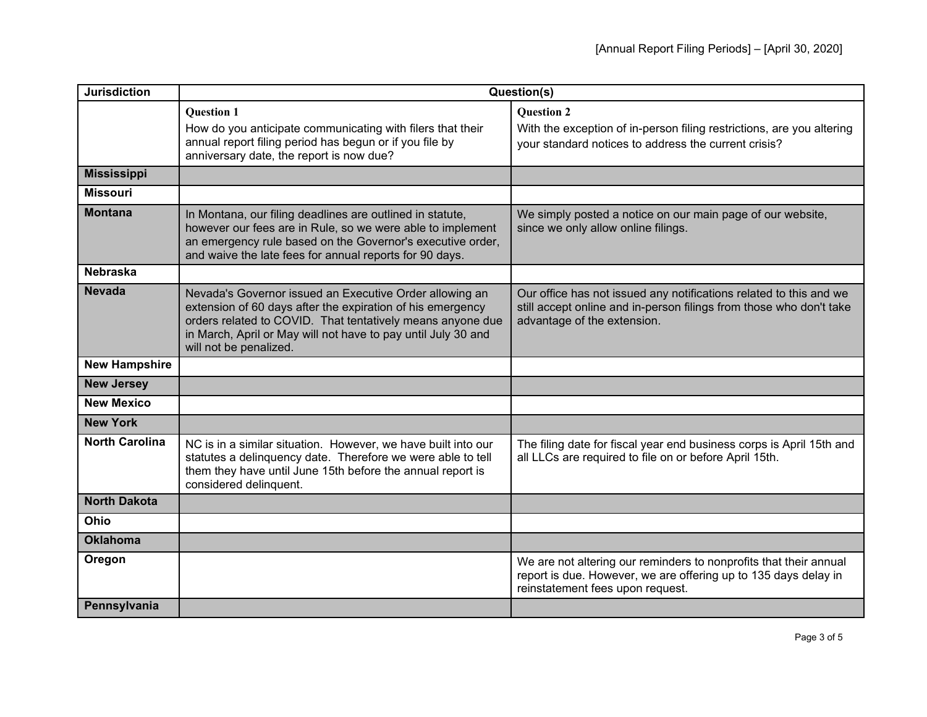| <b>Jurisdiction</b>   | Question(s)                                                                                                                                                                                                                                                                    |                                                                                                                                                                          |
|-----------------------|--------------------------------------------------------------------------------------------------------------------------------------------------------------------------------------------------------------------------------------------------------------------------------|--------------------------------------------------------------------------------------------------------------------------------------------------------------------------|
|                       | <b>Question 1</b><br>How do you anticipate communicating with filers that their<br>annual report filing period has begun or if you file by<br>anniversary date, the report is now due?                                                                                         | <b>Question 2</b><br>With the exception of in-person filing restrictions, are you altering<br>your standard notices to address the current crisis?                       |
| <b>Mississippi</b>    |                                                                                                                                                                                                                                                                                |                                                                                                                                                                          |
| <b>Missouri</b>       |                                                                                                                                                                                                                                                                                |                                                                                                                                                                          |
| <b>Montana</b>        | In Montana, our filing deadlines are outlined in statute,<br>however our fees are in Rule, so we were able to implement<br>an emergency rule based on the Governor's executive order,<br>and waive the late fees for annual reports for 90 days.                               | We simply posted a notice on our main page of our website,<br>since we only allow online filings.                                                                        |
| <b>Nebraska</b>       |                                                                                                                                                                                                                                                                                |                                                                                                                                                                          |
| <b>Nevada</b>         | Nevada's Governor issued an Executive Order allowing an<br>extension of 60 days after the expiration of his emergency<br>orders related to COVID. That tentatively means anyone due<br>in March, April or May will not have to pay until July 30 and<br>will not be penalized. | Our office has not issued any notifications related to this and we<br>still accept online and in-person filings from those who don't take<br>advantage of the extension. |
| <b>New Hampshire</b>  |                                                                                                                                                                                                                                                                                |                                                                                                                                                                          |
| <b>New Jersey</b>     |                                                                                                                                                                                                                                                                                |                                                                                                                                                                          |
| <b>New Mexico</b>     |                                                                                                                                                                                                                                                                                |                                                                                                                                                                          |
| <b>New York</b>       |                                                                                                                                                                                                                                                                                |                                                                                                                                                                          |
| <b>North Carolina</b> | NC is in a similar situation. However, we have built into our<br>statutes a delinquency date. Therefore we were able to tell<br>them they have until June 15th before the annual report is<br>considered delinquent.                                                           | The filing date for fiscal year end business corps is April 15th and<br>all LLCs are required to file on or before April 15th.                                           |
| <b>North Dakota</b>   |                                                                                                                                                                                                                                                                                |                                                                                                                                                                          |
| Ohio                  |                                                                                                                                                                                                                                                                                |                                                                                                                                                                          |
| <b>Oklahoma</b>       |                                                                                                                                                                                                                                                                                |                                                                                                                                                                          |
| Oregon                |                                                                                                                                                                                                                                                                                | We are not altering our reminders to nonprofits that their annual<br>report is due. However, we are offering up to 135 days delay in<br>reinstatement fees upon request. |
| Pennsylvania          |                                                                                                                                                                                                                                                                                |                                                                                                                                                                          |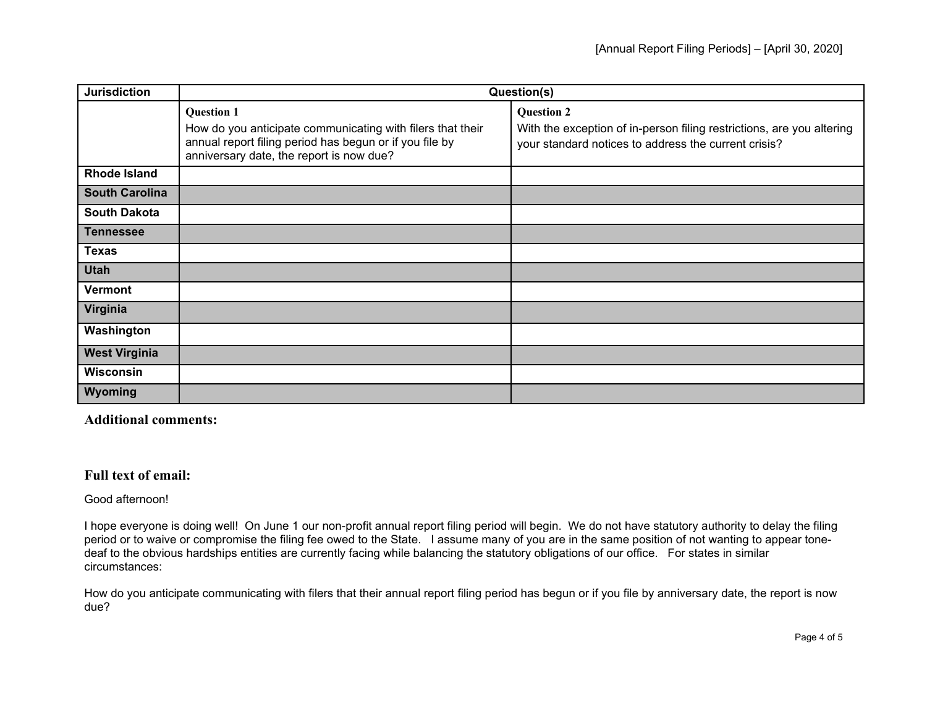| <b>Jurisdiction</b>   | Question(s)                                                                                                                                                                            |                                                                                                                                                    |
|-----------------------|----------------------------------------------------------------------------------------------------------------------------------------------------------------------------------------|----------------------------------------------------------------------------------------------------------------------------------------------------|
|                       | <b>Question 1</b><br>How do you anticipate communicating with filers that their<br>annual report filing period has begun or if you file by<br>anniversary date, the report is now due? | <b>Question 2</b><br>With the exception of in-person filing restrictions, are you altering<br>your standard notices to address the current crisis? |
| <b>Rhode Island</b>   |                                                                                                                                                                                        |                                                                                                                                                    |
| <b>South Carolina</b> |                                                                                                                                                                                        |                                                                                                                                                    |
| <b>South Dakota</b>   |                                                                                                                                                                                        |                                                                                                                                                    |
| Tennessee             |                                                                                                                                                                                        |                                                                                                                                                    |
| <b>Texas</b>          |                                                                                                                                                                                        |                                                                                                                                                    |
| <b>Utah</b>           |                                                                                                                                                                                        |                                                                                                                                                    |
| <b>Vermont</b>        |                                                                                                                                                                                        |                                                                                                                                                    |
| Virginia              |                                                                                                                                                                                        |                                                                                                                                                    |
| Washington            |                                                                                                                                                                                        |                                                                                                                                                    |
| <b>West Virginia</b>  |                                                                                                                                                                                        |                                                                                                                                                    |
| <b>Wisconsin</b>      |                                                                                                                                                                                        |                                                                                                                                                    |
| Wyoming               |                                                                                                                                                                                        |                                                                                                                                                    |

**Additional comments:**

## **Full text of email:**

## Good afternoon!

I hope everyone is doing well! On June 1 our non-profit annual report filing period will begin. We do not have statutory authority to delay the filing period or to waive or compromise the filing fee owed to the State. I assume many of you are in the same position of not wanting to appear tonedeaf to the obvious hardships entities are currently facing while balancing the statutory obligations of our office. For states in similar circumstances:

How do you anticipate communicating with filers that their annual report filing period has begun or if you file by anniversary date, the report is now due?